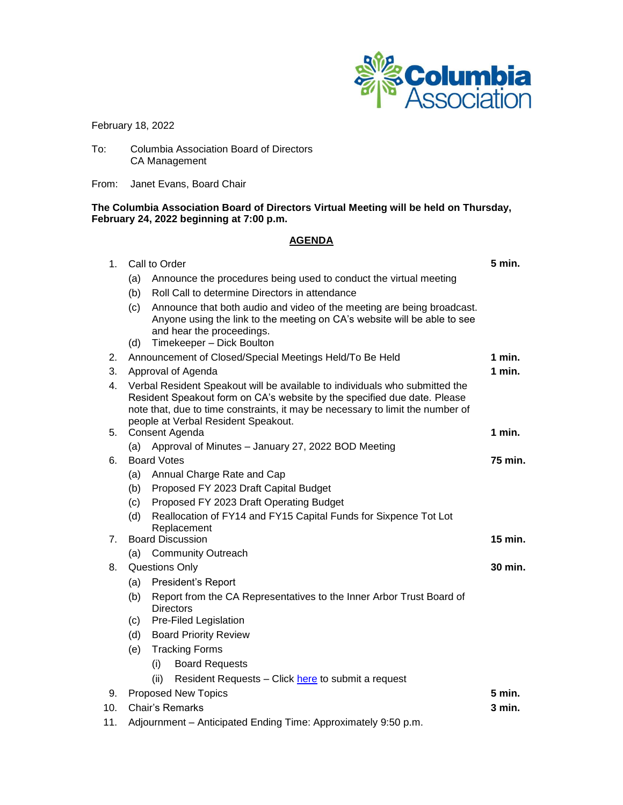

February 18, 2022

To: Columbia Association Board of Directors CA Management

From: Janet Evans, Board Chair

## **The Columbia Association Board of Directors Virtual Meeting will be held on Thursday, February 24, 2022 beginning at 7:00 p.m.**

## **AGENDA**

| 1.       | Call to Order                                                                                                                                                                                                                                                                    |                                                                                                                                                                                                              | 5 min.   |  |
|----------|----------------------------------------------------------------------------------------------------------------------------------------------------------------------------------------------------------------------------------------------------------------------------------|--------------------------------------------------------------------------------------------------------------------------------------------------------------------------------------------------------------|----------|--|
|          | (a)                                                                                                                                                                                                                                                                              | Announce the procedures being used to conduct the virtual meeting                                                                                                                                            |          |  |
|          | (b)                                                                                                                                                                                                                                                                              | Roll Call to determine Directors in attendance                                                                                                                                                               |          |  |
|          | (c)<br>(d)                                                                                                                                                                                                                                                                       | Announce that both audio and video of the meeting are being broadcast.<br>Anyone using the link to the meeting on CA's website will be able to see<br>and hear the proceedings.<br>Timekeeper - Dick Boulton |          |  |
| 2.       | Announcement of Closed/Special Meetings Held/To Be Held                                                                                                                                                                                                                          |                                                                                                                                                                                                              | 1 min.   |  |
| 3.       | Approval of Agenda                                                                                                                                                                                                                                                               |                                                                                                                                                                                                              | $1$ min. |  |
| 4.       | Verbal Resident Speakout will be available to individuals who submitted the<br>Resident Speakout form on CA's website by the specified due date. Please<br>note that, due to time constraints, it may be necessary to limit the number of<br>people at Verbal Resident Speakout. |                                                                                                                                                                                                              |          |  |
| 5.<br>6. | Consent Agenda                                                                                                                                                                                                                                                                   |                                                                                                                                                                                                              | 1 min.   |  |
|          | (a)                                                                                                                                                                                                                                                                              | Approval of Minutes - January 27, 2022 BOD Meeting                                                                                                                                                           |          |  |
|          | <b>Board Votes</b>                                                                                                                                                                                                                                                               |                                                                                                                                                                                                              | 75 min.  |  |
|          | (a)                                                                                                                                                                                                                                                                              | Annual Charge Rate and Cap                                                                                                                                                                                   |          |  |
|          | (b)                                                                                                                                                                                                                                                                              | Proposed FY 2023 Draft Capital Budget                                                                                                                                                                        |          |  |
|          | (c)<br>(d)                                                                                                                                                                                                                                                                       | Proposed FY 2023 Draft Operating Budget<br>Reallocation of FY14 and FY15 Capital Funds for Sixpence Tot Lot                                                                                                  |          |  |
|          |                                                                                                                                                                                                                                                                                  | Replacement                                                                                                                                                                                                  |          |  |
| 7.       | <b>Board Discussion</b>                                                                                                                                                                                                                                                          |                                                                                                                                                                                                              | 15 min.  |  |
|          | (a)                                                                                                                                                                                                                                                                              | <b>Community Outreach</b>                                                                                                                                                                                    |          |  |
| 8.       | <b>Questions Only</b>                                                                                                                                                                                                                                                            |                                                                                                                                                                                                              | 30 min.  |  |
|          | (a)                                                                                                                                                                                                                                                                              | President's Report                                                                                                                                                                                           |          |  |
|          | (b)                                                                                                                                                                                                                                                                              | Report from the CA Representatives to the Inner Arbor Trust Board of<br><b>Directors</b>                                                                                                                     |          |  |
|          | (c)                                                                                                                                                                                                                                                                              | Pre-Filed Legislation                                                                                                                                                                                        |          |  |
|          | (d)<br><b>Board Priority Review</b>                                                                                                                                                                                                                                              |                                                                                                                                                                                                              |          |  |
|          | <b>Tracking Forms</b><br>(e)                                                                                                                                                                                                                                                     |                                                                                                                                                                                                              |          |  |
|          |                                                                                                                                                                                                                                                                                  | <b>Board Requests</b><br>(i)                                                                                                                                                                                 |          |  |
|          |                                                                                                                                                                                                                                                                                  | (ii)<br>Resident Requests - Click here to submit a request                                                                                                                                                   |          |  |
| 9.       |                                                                                                                                                                                                                                                                                  | <b>Proposed New Topics</b>                                                                                                                                                                                   | 5 min.   |  |
| 10.      | Chair's Remarks                                                                                                                                                                                                                                                                  |                                                                                                                                                                                                              | $3$ min. |  |
| 11.      | Adjournment - Anticipated Ending Time: Approximately 9:50 p.m.                                                                                                                                                                                                                   |                                                                                                                                                                                                              |          |  |